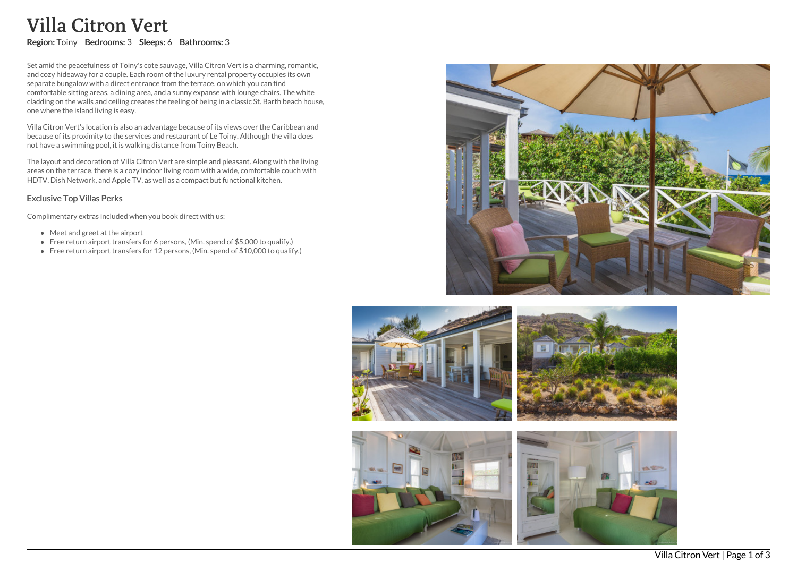## Villa Citron Vert

## Region: Toiny Bedrooms: 3 Sleeps: 6 Bathrooms: 3

Set amid the peacefulness of Toiny's cote sauvage, Villa Citron Vert is a charming, romantic, and cozy hideaway for a couple. Each room of the luxury rental property occupies its own separate bungalow with a direct entrance from the terrace, on which you can find comfortable sitting areas, a dining area, and a sunny expanse with lounge chairs. The white cladding on the walls and ceiling creates the feeling of being in a classic St. Barth beach house, one where the island living is easy.

Villa Citron Vert's location is also an advantage because of its views over the Caribbean and because of its proximity to the services and restaurant of Le Toiny. Although the villa does not have a swimming pool, it is walking distance from Toiny Beach.

The layout and decoration of Villa Citron Vert are simple and pleasant. Along with the living areas on the terrace, there is a cozy indoor living room with a wide, comfortable couch with HDTV, Dish Network, and Apple TV, as well as a compact but functional kitchen.

## Exclusive Top Villas Perks

Complimentary extras included when you book direct with us:

- Meet and greet at the airport
- Free return airport transfers for 6 persons, (Min. spend of \$5,000 to qualify.)
- Free return airport transfers for 12 persons, (Min. spend of \$10,000 to qualify.)



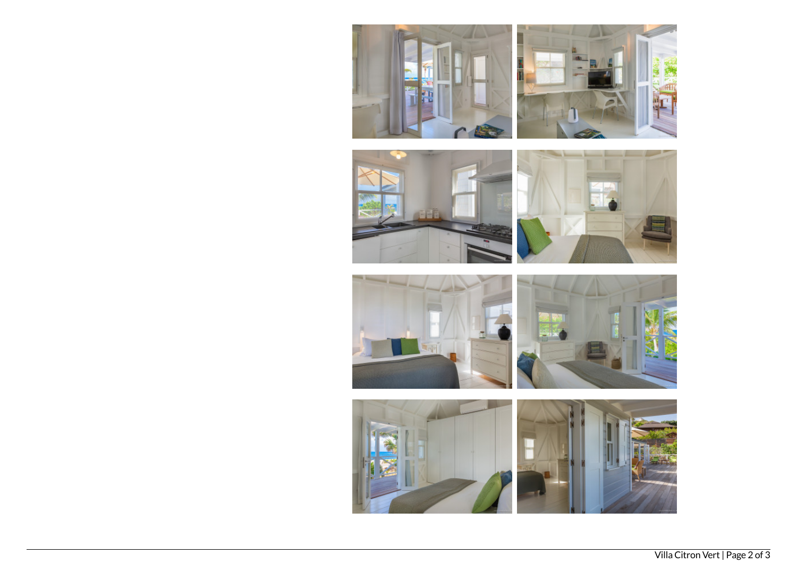